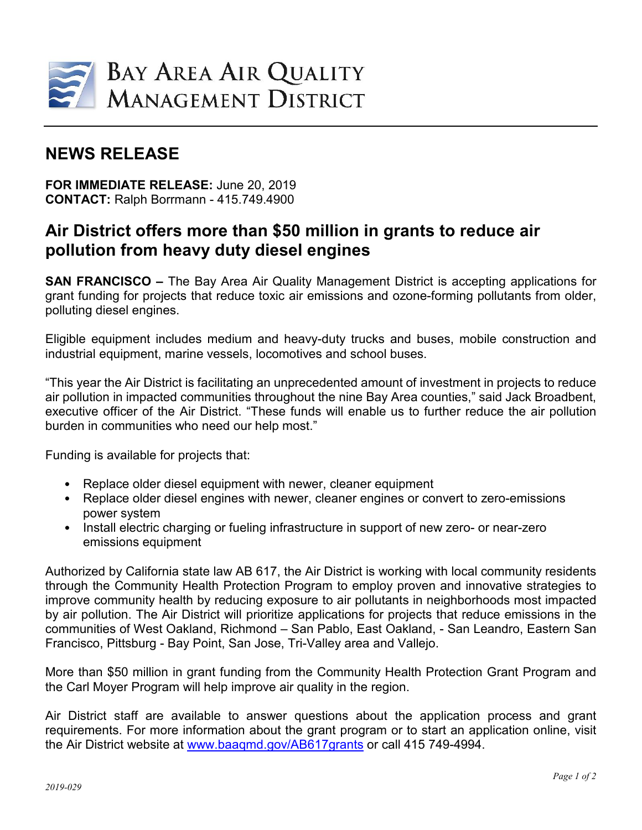

## **NEWS RELEASE**

**FOR IMMEDIATE RELEASE:** June 20, 2019 **CONTACT:** Ralph Borrmann - 415.749.4900

## **Air District offers more than \$50 million in grants to reduce air pollution from heavy duty diesel engines**

**SAN FRANCISCO –** The Bay Area Air Quality Management District is accepting applications for grant funding for projects that reduce toxic air emissions and ozone-forming pollutants from older, polluting diesel engines.

Eligible equipment includes medium and heavy-duty trucks and buses, mobile construction and industrial equipment, marine vessels, locomotives and school buses.

"This year the Air District is facilitating an unprecedented amount of investment in projects to reduce air pollution in impacted communities throughout the nine Bay Area counties," said Jack Broadbent, executive officer of the Air District. "These funds will enable us to further reduce the air pollution burden in communities who need our help most."

Funding is available for projects that:

- Replace older diesel equipment with newer, cleaner equipment
- Replace older diesel engines with newer, cleaner engines or convert to zero-emissions power system
- Install electric charging or fueling infrastructure in support of new zero- or near-zero emissions equipment

Authorized by California state law AB 617, the Air District is working with local community residents through the Community Health Protection Program to employ proven and innovative strategies to improve community health by reducing exposure to air pollutants in neighborhoods most impacted by air pollution. The Air District will prioritize applications for projects that reduce emissions in the communities of West Oakland, Richmond – San Pablo, East Oakland, - San Leandro, Eastern San Francisco, Pittsburg - Bay Point, San Jose, Tri-Valley area and Vallejo.

More than \$50 million in grant funding from the Community Health Protection Grant Program and the Carl Moyer Program will help improve air quality in the region.

Air District staff are available to answer questions about the application process and grant requirements. For more information about the grant program or to start an application online, visit the Air District website at [www.baaqmd.gov/AB617grants](http://www.baaqmd.gov/AB617grants) or call 415 749-4994.